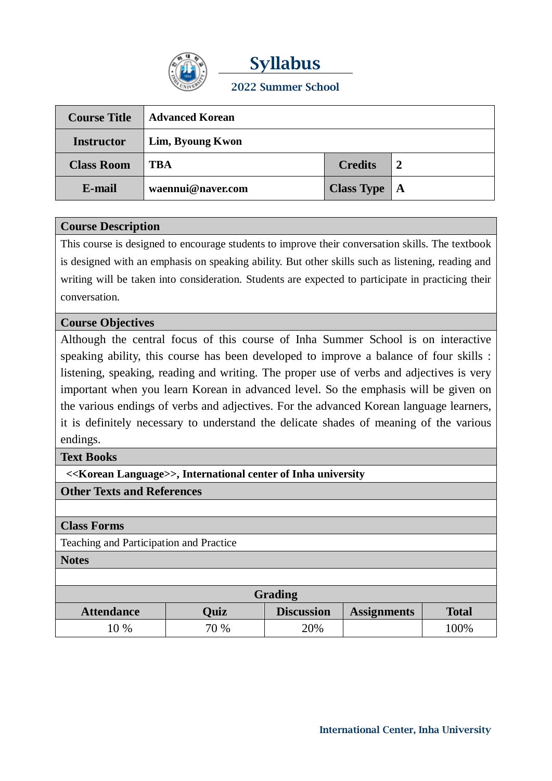

**Syllabus 2022 Summer School**

| <b>Course Title</b> | <b>Advanced Korean</b> |                   |                  |
|---------------------|------------------------|-------------------|------------------|
| <b>Instructor</b>   | Lim, Byoung Kwon       |                   |                  |
| <b>Class Room</b>   | <b>TBA</b>             | <b>Credits</b>    | $\boldsymbol{2}$ |
| E-mail              | waennui@naver.com      | <b>Class Type</b> | A                |

## **Course Description**

This course is designed to encourage students to improve their conversation skills. The textbook is designed with an emphasis on speaking ability. But other skills such as listening, reading and writing will be taken into consideration. Students are expected to participate in practicing their conversation.

## **Course Objectives**

Although the central focus of this course of Inha Summer School is on interactive speaking ability, this course has been developed to improve a balance of four skills : listening, speaking, reading and writing. The proper use of verbs and adjectives is very important when you learn Korean in advanced level. So the emphasis will be given on the various endings of verbs and adjectives. For the advanced Korean language learners, it is definitely necessary to understand the delicate shades of meaning of the various endings.

#### **Text Books**

**<<Korean Language>>, International center of Inha university**

## **Other Texts and References**

#### **Class Forms**

Teaching and Participation and Practice

**Notes**

| <b>Grading</b>    |             |                   |                    |              |  |
|-------------------|-------------|-------------------|--------------------|--------------|--|
| <b>Attendance</b> | <b>Ouiz</b> | <b>Discussion</b> | <b>Assignments</b> | <b>Total</b> |  |
| $0\%$             | 70 %        | 20%               |                    | 100%         |  |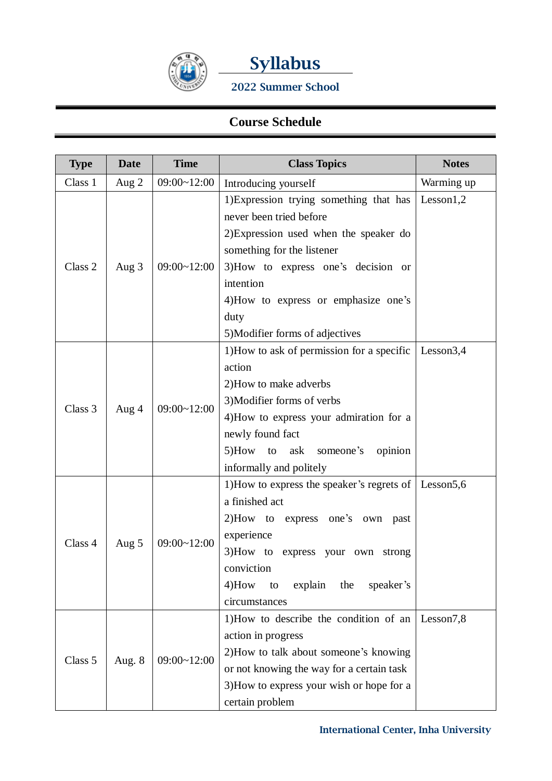



**2022 Summer School**

# **Course Schedule**

| <b>Type</b>        | <b>Date</b> | <b>Time</b>     | <b>Class Topics</b>                                                                                                                                                                                                                                                               | <b>Notes</b> |
|--------------------|-------------|-----------------|-----------------------------------------------------------------------------------------------------------------------------------------------------------------------------------------------------------------------------------------------------------------------------------|--------------|
| Class 1            | Aug 2       | 09:00~12:00     | Introducing yourself                                                                                                                                                                                                                                                              | Warming up   |
| Class <sub>2</sub> | Aug $3$     | $09:00-12:00$   | 1) Expression trying something that has<br>never been tried before<br>2) Expression used when the speaker do<br>something for the listener<br>3) How to express one's decision or<br>intention<br>4) How to express or emphasize one's<br>duty<br>5) Modifier forms of adjectives | Lesson1,2    |
| Class 3            | Aug 4       | $09:00 - 12:00$ | 1) How to ask of permission for a specific<br>action<br>2) How to make adverbs<br>3) Modifier forms of verbs<br>4) How to express your admiration for a<br>newly found fact<br>5)How to<br>ask<br>someone's<br>opinion<br>informally and politely                                 | Lesson $3,4$ |
| Class 4            | Aug 5       | $09:00 - 12:00$ | 1) How to express the speaker's regrets of $\vert$ Lesson5,6<br>a finished act<br>2)How to express one's own past<br>experience<br>3)How to express your own strong<br>conviction<br>$4)$ How<br>explain<br>speaker's<br>the<br>to<br>circumstances                               |              |
| Class 5            | Aug. 8      | $09:00 - 12:00$ | 1) How to describe the condition of an<br>action in progress<br>2) How to talk about someone's knowing<br>or not knowing the way for a certain task<br>3) How to express your wish or hope for a<br>certain problem                                                               | Lesson7,8    |